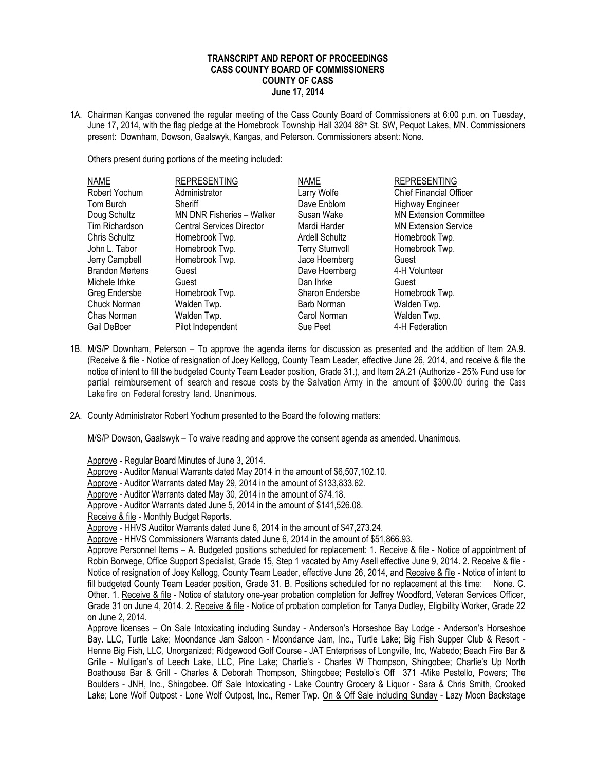## **TRANSCRIPT AND REPORT OF PROCEEDINGS CASS COUNTY BOARD OF COMMISSIONERS COUNTY OF CASS June 17, 2014**

1A. Chairman Kangas convened the regular meeting of the Cass County Board of Commissioners at 6:00 p.m. on Tuesday, June 17, 2014, with the flag pledge at the Homebrook Township Hall 3204 88<sup>th</sup> St. SW, Pequot Lakes, MN. Commissioners present: Downham, Dowson, Gaalswyk, Kangas, and Peterson. Commissioners absent: None.

Others present during portions of the meeting included:

| <b>NAME</b>            | <b>REPRESENTING</b>              | <b>NAME</b>            | <b>REPRESENTING</b>            |
|------------------------|----------------------------------|------------------------|--------------------------------|
| Robert Yochum          | Administrator                    | Larry Wolfe            | <b>Chief Financial Officer</b> |
| Tom Burch              | Sheriff                          | Dave Enblom            | <b>Highway Engineer</b>        |
| Doug Schultz           | MN DNR Fisheries - Walker        | Susan Wake             | <b>MN Extension Committee</b>  |
| Tim Richardson         | <b>Central Services Director</b> | Mardi Harder           | <b>MN Extension Service</b>    |
| Chris Schultz          | Homebrook Twp.                   | <b>Ardell Schultz</b>  | Homebrook Twp.                 |
| John L. Tabor          | Homebrook Twp.                   | <b>Terry Stumvoll</b>  | Homebrook Twp.                 |
| Jerry Campbell         | Homebrook Twp.                   | Jace Hoemberg          | Guest                          |
| <b>Brandon Mertens</b> | Guest                            | Dave Hoemberg          | 4-H Volunteer                  |
| Michele Irhke          | Guest                            | Dan Ihrke              | Guest                          |
| Greg Endersbe          | Homebrook Twp.                   | <b>Sharon Endersbe</b> | Homebrook Twp.                 |
| Chuck Norman           | Walden Twp.                      | Barb Norman            | Walden Twp.                    |
| Chas Norman            | Walden Twp.                      | Carol Norman           | Walden Twp.                    |
| Gail DeBoer            | Pilot Independent                | Sue Peet               | 4-H Federation                 |

- 1B. M/S/P Downham, Peterson To approve the agenda items for discussion as presented and the addition of Item 2A.9. (Receive & file - Notice of resignation of Joey Kellogg, County Team Leader, effective June 26, 2014, and receive & file the notice of intent to fill the budgeted County Team Leader position, Grade 31.), and Item 2A.21 (Authorize - 25% Fund use for partial reimbursement of search and rescue costs by the Salvation Army in the amount of \$300.00 during the Cass Lake fire on Federal forestry land. Unanimous.
- 2A. County Administrator Robert Yochum presented to the Board the following matters:

M/S/P Dowson, Gaalswyk – To waive reading and approve the consent agenda as amended. Unanimous.

Approve - Regular Board Minutes of June 3, 2014.

Approve - Auditor Manual Warrants dated May 2014 in the amount of \$6,507,102.10.

Approve - Auditor Warrants dated May 29, 2014 in the amount of \$133,833.62.

Approve - Auditor Warrants dated May 30, 2014 in the amount of \$74.18.

Approve - Auditor Warrants dated June 5, 2014 in the amount of \$141,526.08.

Receive & file - Monthly Budget Reports.

Approve - HHVS Auditor Warrants dated June 6, 2014 in the amount of \$47,273.24.

Approve - HHVS Commissioners Warrants dated June 6, 2014 in the amount of \$51,866.93.

Approve Personnel Items - A. Budgeted positions scheduled for replacement: 1. Receive & file - Notice of appointment of Robin Borwege, Office Support Specialist, Grade 15, Step 1 vacated by Amy Asell effective June 9, 2014. 2. Receive & file - Notice of resignation of Joey Kellogg, County Team Leader, effective June 26, 2014, and Receive & file - Notice of intent to fill budgeted County Team Leader position, Grade 31. B. Positions scheduled for no replacement at this time: None. C. Other. 1. Receive & file - Notice of statutory one-year probation completion for Jeffrey Woodford, Veteran Services Officer, Grade 31 on June 4, 2014. 2. Receive & file - Notice of probation completion for Tanya Dudley, Eligibility Worker, Grade 22 on June 2, 2014.

Approve licenses – On Sale Intoxicating including Sunday - Anderson's Horseshoe Bay Lodge - Anderson's Horseshoe Bay. LLC, Turtle Lake; Moondance Jam Saloon - Moondance Jam, Inc., Turtle Lake; Big Fish Supper Club & Resort - Henne Big Fish, LLC, Unorganized; Ridgewood Golf Course - JAT Enterprises of Longville, Inc, Wabedo; Beach Fire Bar & Grille - Mulligan's of Leech Lake, LLC, Pine Lake; Charlie's - Charles W Thompson, Shingobee; Charlie's Up North Boathouse Bar & Grill - Charles & Deborah Thompson, Shingobee; Pestello's Off 371 -Mike Pestello, Powers; The Boulders - JNH, Inc., Shingobee. Off Sale Intoxicating - Lake Country Grocery & Liquor - Sara & Chris Smith, Crooked Lake; Lone Wolf Outpost - Lone Wolf Outpost, Inc., Remer Twp. On & Off Sale including Sunday - Lazy Moon Backstage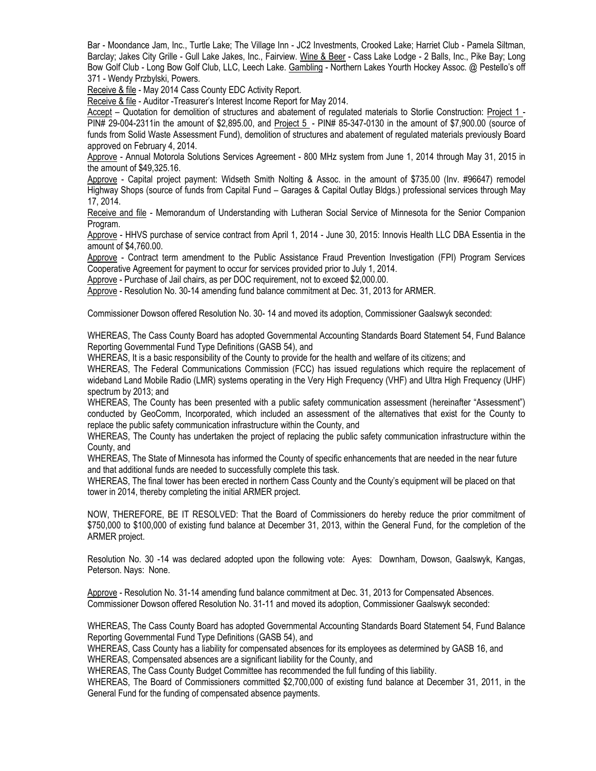Bar - Moondance Jam, Inc., Turtle Lake; The Village Inn - JC2 Investments, Crooked Lake; Harriet Club - Pamela Siltman, Barclay; Jakes City Grille - Gull Lake Jakes, Inc., Fairview. Wine & Beer - Cass Lake Lodge - 2 Balls, Inc., Pike Bay; Long Bow Golf Club - Long Bow Golf Club, LLC, Leech Lake. Gambling - Northern Lakes Yourth Hockey Assoc. @ Pestello's off 371 - Wendy Przbylski, Powers.

Receive & file - May 2014 Cass County EDC Activity Report.

Receive & file - Auditor -Treasurer's Interest Income Report for May 2014.

Accept – Quotation for demolition of structures and abatement of regulated materials to Storlie Construction: Project 1 -PIN# 29-004-2311in the amount of \$2,895.00, and Project 5 - PIN# 85-347-0130 in the amount of \$7,900.00 (source of funds from Solid Waste Assessment Fund), demolition of structures and abatement of regulated materials previously Board approved on February 4, 2014.

Approve - Annual Motorola Solutions Services Agreement - 800 MHz system from June 1, 2014 through May 31, 2015 in the amount of \$49,325.16.

Approve - Capital project payment: Widseth Smith Nolting & Assoc. in the amount of \$735.00 (Inv. #96647) remodel Highway Shops (source of funds from Capital Fund – Garages & Capital Outlay Bldgs.) professional services through May 17, 2014.

Receive and file - Memorandum of Understanding with Lutheran Social Service of Minnesota for the Senior Companion Program.

Approve - HHVS purchase of service contract from April 1, 2014 - June 30, 2015: Innovis Health LLC DBA Essentia in the amount of \$4,760.00.

Approve - Contract term amendment to the Public Assistance Fraud Prevention Investigation (FPI) Program Services Cooperative Agreement for payment to occur for services provided prior to July 1, 2014.

Approve - Purchase of Jail chairs, as per DOC requirement, not to exceed \$2,000.00.

Approve - Resolution No. 30-14 amending fund balance commitment at Dec. 31, 2013 for ARMER.

Commissioner Dowson offered Resolution No. 30- 14 and moved its adoption, Commissioner Gaalswyk seconded:

WHEREAS, The Cass County Board has adopted Governmental Accounting Standards Board Statement 54, Fund Balance Reporting Governmental Fund Type Definitions (GASB 54), and

WHEREAS, It is a basic responsibility of the County to provide for the health and welfare of its citizens; and

WHEREAS, The Federal Communications Commission (FCC) has issued regulations which require the replacement of wideband Land Mobile Radio (LMR) systems operating in the Very High Frequency (VHF) and Ultra High Frequency (UHF) spectrum by 2013; and

WHEREAS, The County has been presented with a public safety communication assessment (hereinafter "Assessment") conducted by GeoComm, Incorporated, which included an assessment of the alternatives that exist for the County to replace the public safety communication infrastructure within the County, and

WHEREAS, The County has undertaken the project of replacing the public safety communication infrastructure within the County, and

WHEREAS, The State of Minnesota has informed the County of specific enhancements that are needed in the near future and that additional funds are needed to successfully complete this task.

WHEREAS, The final tower has been erected in northern Cass County and the County's equipment will be placed on that tower in 2014, thereby completing the initial ARMER project.

NOW, THEREFORE, BE IT RESOLVED: That the Board of Commissioners do hereby reduce the prior commitment of \$750,000 to \$100,000 of existing fund balance at December 31, 2013, within the General Fund, for the completion of the ARMER project.

Resolution No. 30 -14 was declared adopted upon the following vote: Ayes: Downham, Dowson, Gaalswyk, Kangas, Peterson. Nays: None.

Approve - Resolution No. 31-14 amending fund balance commitment at Dec. 31, 2013 for Compensated Absences. Commissioner Dowson offered Resolution No. 31-11 and moved its adoption, Commissioner Gaalswyk seconded:

WHEREAS, The Cass County Board has adopted Governmental Accounting Standards Board Statement 54, Fund Balance Reporting Governmental Fund Type Definitions (GASB 54), and

WHEREAS, Cass County has a liability for compensated absences for its employees as determined by GASB 16, and WHEREAS, Compensated absences are a significant liability for the County, and

WHEREAS, The Cass County Budget Committee has recommended the full funding of this liability.

WHEREAS, The Board of Commissioners committed \$2,700,000 of existing fund balance at December 31, 2011, in the General Fund for the funding of compensated absence payments.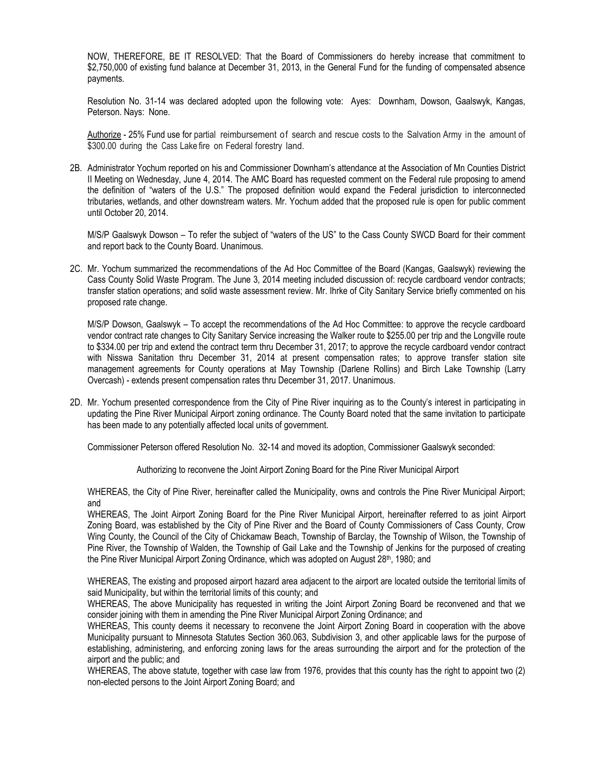NOW, THEREFORE, BE IT RESOLVED: That the Board of Commissioners do hereby increase that commitment to \$2,750,000 of existing fund balance at December 31, 2013, in the General Fund for the funding of compensated absence payments.

Resolution No. 31-14 was declared adopted upon the following vote: Ayes: Downham, Dowson, Gaalswyk, Kangas, Peterson. Nays: None.

Authorize - 25% Fund use for partial reimbursement of search and rescue costs to the Salvation Army in the amount of \$300.00 during the Cass Lake fire on Federal forestry land.

2B. Administrator Yochum reported on his and Commissioner Downham's attendance at the Association of Mn Counties District II Meeting on Wednesday, June 4, 2014. The AMC Board has requested comment on the Federal rule proposing to amend the definition of "waters of the U.S." The proposed definition would expand the Federal jurisdiction to interconnected tributaries, wetlands, and other downstream waters. Mr. Yochum added that the proposed rule is open for public comment until October 20, 2014.

M/S/P Gaalswyk Dowson – To refer the subject of "waters of the US" to the Cass County SWCD Board for their comment and report back to the County Board. Unanimous.

2C. Mr. Yochum summarized the recommendations of the Ad Hoc Committee of the Board (Kangas, Gaalswyk) reviewing the Cass County Solid Waste Program. The June 3, 2014 meeting included discussion of: recycle cardboard vendor contracts; transfer station operations; and solid waste assessment review. Mr. Ihrke of City Sanitary Service briefly commented on his proposed rate change.

M/S/P Dowson, Gaalswyk – To accept the recommendations of the Ad Hoc Committee: to approve the recycle cardboard vendor contract rate changes to City Sanitary Service increasing the Walker route to \$255.00 per trip and the Longville route to \$334.00 per trip and extend the contract term thru December 31, 2017; to approve the recycle cardboard vendor contract with Nisswa Sanitation thru December 31, 2014 at present compensation rates; to approve transfer station site management agreements for County operations at May Township (Darlene Rollins) and Birch Lake Township (Larry Overcash) - extends present compensation rates thru December 31, 2017. Unanimous.

2D. Mr. Yochum presented correspondence from the City of Pine River inquiring as to the County's interest in participating in updating the Pine River Municipal Airport zoning ordinance. The County Board noted that the same invitation to participate has been made to any potentially affected local units of government.

Commissioner Peterson offered Resolution No. 32-14 and moved its adoption, Commissioner Gaalswyk seconded:

Authorizing to reconvene the Joint Airport Zoning Board for the Pine River Municipal Airport

WHEREAS, the City of Pine River, hereinafter called the Municipality, owns and controls the Pine River Municipal Airport; and

WHEREAS, The Joint Airport Zoning Board for the Pine River Municipal Airport, hereinafter referred to as joint Airport Zoning Board, was established by the City of Pine River and the Board of County Commissioners of Cass County, Crow Wing County, the Council of the City of Chickamaw Beach, Township of Barclay, the Township of Wilson, the Township of Pine River, the Township of Walden, the Township of Gail Lake and the Township of Jenkins for the purposed of creating the Pine River Municipal Airport Zoning Ordinance, which was adopted on August 28th, 1980; and

WHEREAS, The existing and proposed airport hazard area adjacent to the airport are located outside the territorial limits of said Municipality, but within the territorial limits of this county; and

WHEREAS, The above Municipality has requested in writing the Joint Airport Zoning Board be reconvened and that we consider joining with them in amending the Pine River Municipal Airport Zoning Ordinance; and

WHEREAS, This county deems it necessary to reconvene the Joint Airport Zoning Board in cooperation with the above Municipality pursuant to Minnesota Statutes Section 360.063, Subdivision 3, and other applicable laws for the purpose of establishing, administering, and enforcing zoning laws for the areas surrounding the airport and for the protection of the airport and the public; and

WHEREAS, The above statute, together with case law from 1976, provides that this county has the right to appoint two (2) non-elected persons to the Joint Airport Zoning Board; and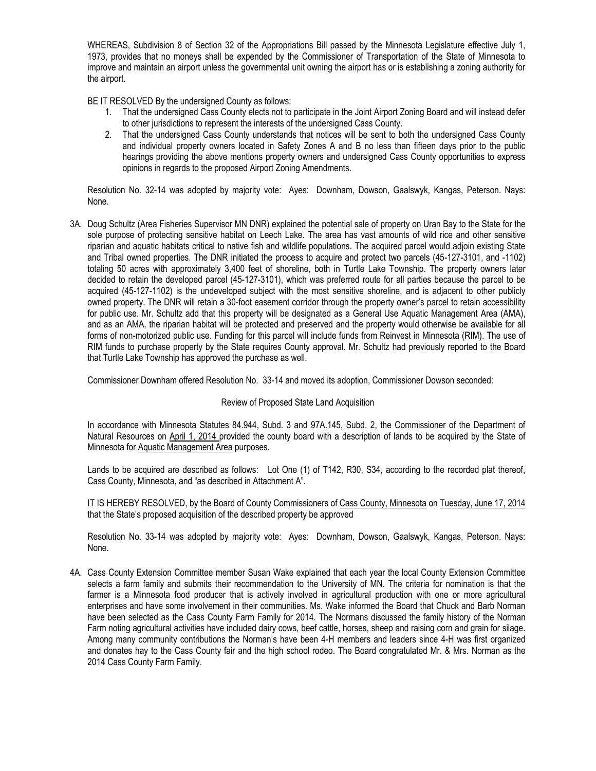WHEREAS, Subdivision 8 of Section 32 of the Appropriations Bill passed by the Minnesota Legislature effective July 1, 1973, provides that no moneys shall be expended by the Commissioner of Transportation of the State of Minnesota to improve and maintain an airport unless the governmental unit owning the airport has or is establishing a zoning authority for the airport.

BE IT RESOLVED By the undersigned County as follows:

- 1. That the undersigned Cass County elects not to participate in the Joint Airport Zoning Board and will instead defer to other jurisdictions to represent the interests of the undersigned Cass County.
- 2. That the undersigned Cass County understands that notices will be sent to both the undersigned Cass County and individual property owners located in Safety Zones A and B no less than fifteen days prior to the public hearings providing the above mentions property owners and undersigned Cass County opportunities to express opinions in regards to the proposed Airport Zoning Amendments.

Resolution No. 32-14 was adopted by majority vote: Ayes: Downham, Dowson, Gaalswyk, Kangas, Peterson. Nays: None.

3A. Doug Schultz (Area Fisheries Supervisor MN DNR) explained the potential sale of property on Uran Bay to the State for the sole purpose of protecting sensitive habitat on Leech Lake. The area has vast amounts of wild rice and other sensitive riparian and aquatic habitats critical to native fish and wildlife populations. The acquired parcel would adjoin existing State and Tribal owned properties. The DNR initiated the process to acquire and protect two parcels (45-127-3101, and -1102) totaling 50 acres with approximately 3,400 feet of shoreline, both in Turtle Lake Township. The property owners later decided to retain the developed parcel (45-127-3101), which was preferred route for all parties because the parcel to be acquired (45-127-1102) is the undeveloped subject with the most sensitive shoreline, and is adjacent to other publicly owned property. The DNR will retain a 30-foot easement corridor through the property owner's parcel to retain accessibility for public use. Mr. Schultz add that this property will be designated as a General Use Aquatic Management Area (AMA), and as an AMA, the riparian habitat will be protected and preserved and the property would otherwise be available for all forms of non-motorized public use. Funding for this parcel will include funds from Reinvest in Minnesota (RIM). The use of RIM funds to purchase property by the State requires County approval. Mr. Schultz had previously reported to the Board that Turtle Lake Township has approved the purchase as well.

Commissioner Downham offered Resolution No. 33-14 and moved its adoption, Commissioner Dowson seconded:

Review of Proposed State Land Acquisition

In accordance with Minnesota Statutes 84.944, Subd. 3 and 97A.145, Subd. 2, the Commissioner of the Department of Natural Resources on April 1, 2014 provided the county board with a description of lands to be acquired by the State of Minnesota for Aquatic Management Area purposes.

Lands to be acquired are described as follows: Lot One (1) of T142, R30, S34, according to the recorded plat thereof, Cass County, Minnesota, and "as described in Attachment A".

IT IS HEREBY RESOLVED, by the Board of County Commissioners of Cass County, Minnesota on Tuesday, June 17, 2014 that the State's proposed acquisition of the described property be approved

Resolution No. 33-14 was adopted by majority vote: Ayes: Downham, Dowson, Gaalswyk, Kangas, Peterson. Nays: None.

4A. Cass County Extension Committee member Susan Wake explained that each year the local County Extension Committee selects a farm family and submits their recommendation to the University of MN. The criteria for nomination is that the farmer is a Minnesota food producer that is actively involved in agricultural production with one or more agricultural enterprises and have some involvement in their communities. Ms. Wake informed the Board that Chuck and Barb Norman have been selected as the Cass County Farm Family for 2014. The Normans discussed the family history of the Norman Farm noting agricultural activities have included dairy cows, beef cattle, horses, sheep and raising corn and grain for silage. Among many community contributions the Norman's have been 4-H members and leaders since 4-H was first organized and donates hay to the Cass County fair and the high school rodeo. The Board congratulated Mr. & Mrs. Norman as the 2014 Cass County Farm Family.